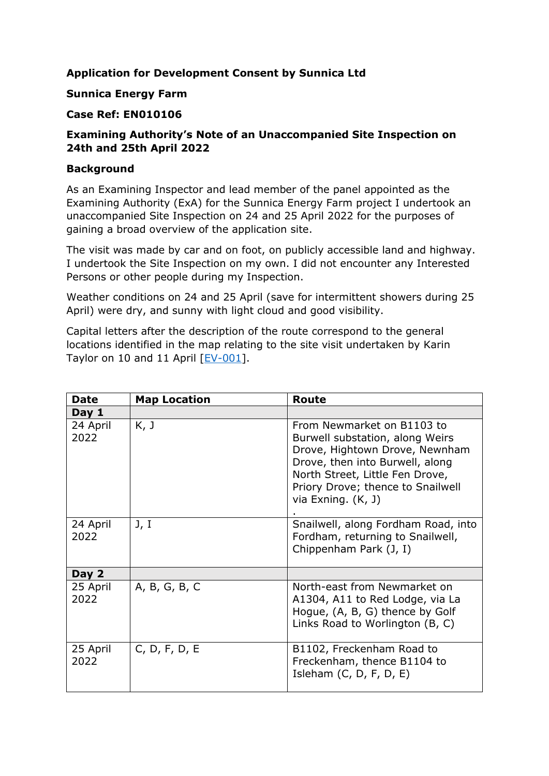# **Application for Development Consent by Sunnica Ltd**

### **Sunnica Energy Farm**

### **Case Ref: EN010106**

## **Examining Authority's Note of an Unaccompanied Site Inspection on 24th and 25th April 2022**

### **Background**

As an Examining Inspector and lead member of the panel appointed as the Examining Authority (ExA) for the Sunnica Energy Farm project I undertook an unaccompanied Site Inspection on 24 and 25 April 2022 for the purposes of gaining a broad overview of the application site.

The visit was made by car and on foot, on publicly accessible land and highway. I undertook the Site Inspection on my own. I did not encounter any Interested Persons or other people during my Inspection.

Weather conditions on 24 and 25 April (save for intermittent showers during 25 April) were dry, and sunny with light cloud and good visibility.

Capital letters after the description of the route correspond to the general locations identified in the map relating to the site visit undertaken by Karin Taylor on 10 and 11 April [\[EV-001\]](https://infrastructure.planninginspectorate.gov.uk/wp-content/ipc/uploads/projects/EN010106/EN010106-002183-USI%20report%20KT%2004%2022%20and%20Map.pdf).

| <b>Date</b>      | <b>Map Location</b> | Route                                                                                                                                                                                                                              |
|------------------|---------------------|------------------------------------------------------------------------------------------------------------------------------------------------------------------------------------------------------------------------------------|
| Day 1            |                     |                                                                                                                                                                                                                                    |
| 24 April<br>2022 | K, J                | From Newmarket on B1103 to<br>Burwell substation, along Weirs<br>Drove, Hightown Drove, Newnham<br>Drove, then into Burwell, along<br>North Street, Little Fen Drove,<br>Priory Drove; thence to Snailwell<br>via Exning. $(K, J)$ |
| 24 April<br>2022 | J, I                | Snailwell, along Fordham Road, into<br>Fordham, returning to Snailwell,<br>Chippenham Park (J, I)                                                                                                                                  |
| Day 2            |                     |                                                                                                                                                                                                                                    |
| 25 April<br>2022 | A, B, G, B, C       | North-east from Newmarket on<br>A1304, A11 to Red Lodge, via La<br>Hogue, (A, B, G) thence by Golf<br>Links Road to Worlington (B, C)                                                                                              |
| 25 April<br>2022 | C, D, F, D, E       | B1102, Freckenham Road to<br>Freckenham, thence B1104 to<br>Isleham (C, D, F, D, E)                                                                                                                                                |